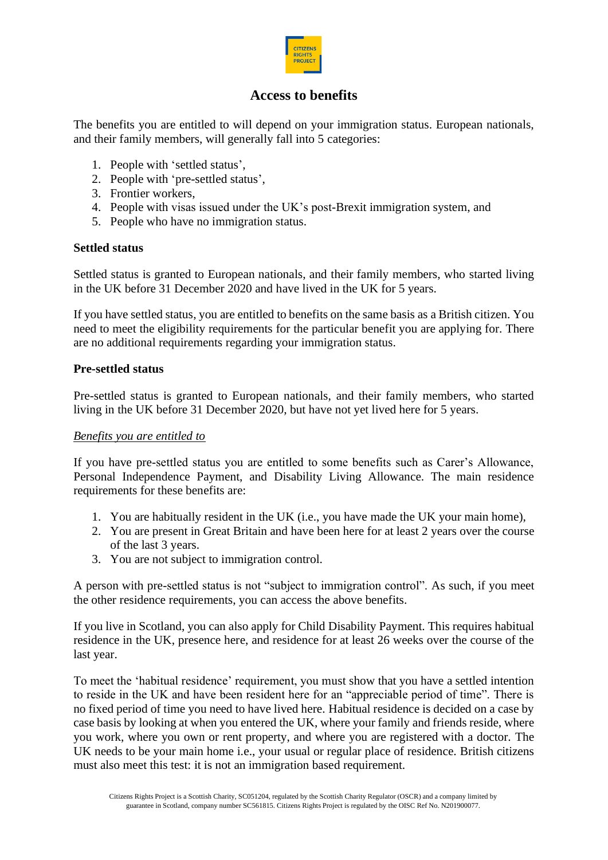

# **Access to benefits**

The benefits you are entitled to will depend on your immigration status. European nationals, and their family members, will generally fall into 5 categories:

- 1. People with 'settled status',
- 2. People with 'pre-settled status',
- 3. Frontier workers,
- 4. People with visas issued under the UK's post-Brexit immigration system, and
- 5. People who have no immigration status.

#### **Settled status**

Settled status is granted to European nationals, and their family members, who started living in the UK before 31 December 2020 and have lived in the UK for 5 years.

If you have settled status, you are entitled to benefits on the same basis as a British citizen. You need to meet the eligibility requirements for the particular benefit you are applying for. There are no additional requirements regarding your immigration status.

#### **Pre-settled status**

Pre-settled status is granted to European nationals, and their family members, who started living in the UK before 31 December 2020, but have not yet lived here for 5 years.

#### *Benefits you are entitled to*

If you have pre-settled status you are entitled to some benefits such as Carer's Allowance, Personal Independence Payment, and Disability Living Allowance. The main residence requirements for these benefits are:

- 1. You are habitually resident in the UK (i.e., you have made the UK your main home),
- 2. You are present in Great Britain and have been here for at least 2 years over the course of the last 3 years.
- 3. You are not subject to immigration control.

A person with pre-settled status is not "subject to immigration control". As such, if you meet the other residence requirements, you can access the above benefits.

If you live in Scotland, you can also apply for Child Disability Payment. This requires habitual residence in the UK, presence here, and residence for at least 26 weeks over the course of the last year.

To meet the 'habitual residence' requirement, you must show that you have a settled intention to reside in the UK and have been resident here for an "appreciable period of time". There is no fixed period of time you need to have lived here. Habitual residence is decided on a case by case basis by looking at when you entered the UK, where your family and friends reside, where you work, where you own or rent property, and where you are registered with a doctor. The UK needs to be your main home i.e., your usual or regular place of residence. British citizens must also meet this test: it is not an immigration based requirement.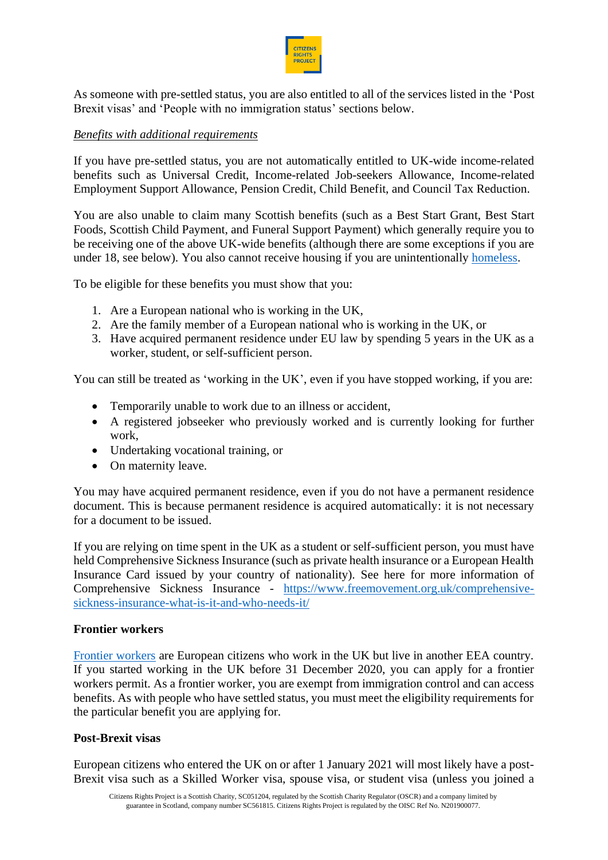

As someone with pre-settled status, you are also entitled to all of the services listed in the 'Post Brexit visas' and 'People with no immigration status' sections below.

### *Benefits with additional requirements*

If you have pre-settled status, you are not automatically entitled to UK-wide income-related benefits such as Universal Credit, Income-related Job-seekers Allowance, Income-related Employment Support Allowance, Pension Credit, Child Benefit, and Council Tax Reduction.

You are also unable to claim many Scottish benefits (such as a Best Start Grant, Best Start Foods, Scottish Child Payment, and Funeral Support Payment) which generally require you to be receiving one of the above UK-wide benefits (although there are some exceptions if you are under 18, see below). You also cannot receive housing if you are unintentionally [homeless.](https://www.mygov.scot/homelessness)

To be eligible for these benefits you must show that you:

- 1. Are a European national who is working in the UK,
- 2. Are the family member of a European national who is working in the UK, or
- 3. Have acquired permanent residence under EU law by spending 5 years in the UK as a worker, student, or self-sufficient person.

You can still be treated as 'working in the UK', even if you have stopped working, if you are:

- Temporarily unable to work due to an illness or accident,
- A registered jobseeker who previously worked and is currently looking for further work,
- Undertaking vocational training, or
- On maternity leave.

You may have acquired permanent residence, even if you do not have a permanent residence document. This is because permanent residence is acquired automatically: it is not necessary for a document to be issued.

If you are relying on time spent in the UK as a student or self-sufficient person, you must have held Comprehensive Sickness Insurance (such as private health insurance or a European Health Insurance Card issued by your country of nationality). See here for more information of Comprehensive Sickness Insurance - https://www.freemovement.org.uk/comprehensivesickness-insurance-what-is-it-and-who-needs-it/

## **Frontier workers**

[Frontier workers](https://www.gov.uk/frontier-worker-permit) are European citizens who work in the UK but live in another EEA country. If you started working in the UK before 31 December 2020, you can apply for a frontier workers permit. As a frontier worker, you are exempt from immigration control and can access benefits. As with people who have settled status, you must meet the eligibility requirements for the particular benefit you are applying for.

### **Post-Brexit visas**

European citizens who entered the UK on or after 1 January 2021 will most likely have a post-Brexit visa such as a Skilled Worker visa, spouse visa, or student visa (unless you joined a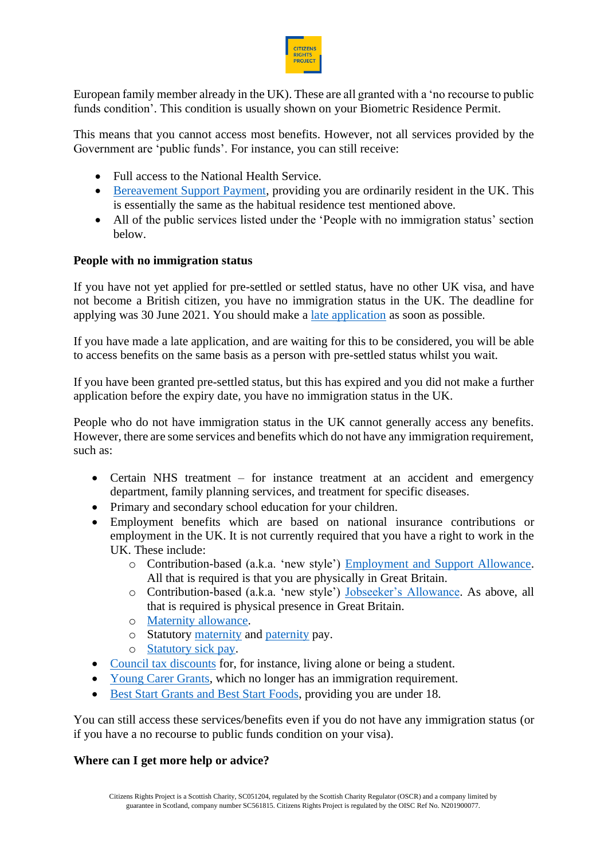

European family member already in the UK). These are all granted with a 'no recourse to public funds condition'. This condition is usually shown on your Biometric Residence Permit.

This means that you cannot access most benefits. However, not all services provided by the Government are 'public funds'. For instance, you can still receive:

- Full access to the National Health Service.
- [Bereavement Support Payment,](https://www.gov.uk/bereavement-support-payment) providing you are ordinarily resident in the UK. This is essentially the same as the habitual residence test mentioned above.
- All of the public services listed under the 'People with no immigration status' section below.

## **People with no immigration status**

If you have not yet applied for pre-settled or settled status, have no other UK visa, and have not become a British citizen, you have no immigration status in the UK. The deadline for applying was 30 June 2021. You should make a [late application](https://www.gov.uk/government/publications/eu-settlement-scheme-information-for-late-applicants/eu-settlement-scheme-information-for-late-applicants) as soon as possible.

If you have made a late application, and are waiting for this to be considered, you will be able to access benefits on the same basis as a person with pre-settled status whilst you wait.

If you have been granted pre-settled status, but this has expired and you did not make a further application before the expiry date, you have no immigration status in the UK.

People who do not have immigration status in the UK cannot generally access any benefits. However, there are some services and benefits which do not have any immigration requirement, such as:

- Certain NHS treatment for instance treatment at an accident and emergency department, family planning services, and treatment for specific diseases.
- Primary and secondary school education for your children.
- Employment benefits which are based on national insurance contributions or employment in the UK. It is not currently required that you have a right to work in the UK. These include:
	- o Contribution-based (a.k.a. 'new style') Employment and Support Allowance. All that is required is that you are physically in Great Britain.
	- o Contribution-based (a.k.a. 'new style') Jobseeker's Allowance. As above, all that is required is physical presence in Great Britain.
	- o Maternity allowance.
	- o Statutory maternity and paternity pay.
	- o Statutory sick pay.
- Council tax discounts for, for instance, living alone or being a student.
- Young Carer Grants, which no longer has an immigration requirement.
- Best Start Grants and Best Start Foods, providing you are under 18.

You can still access these services/benefits even if you do not have any immigration status (or if you have a no recourse to public funds condition on your visa).

#### **Where can I get more help or advice?**